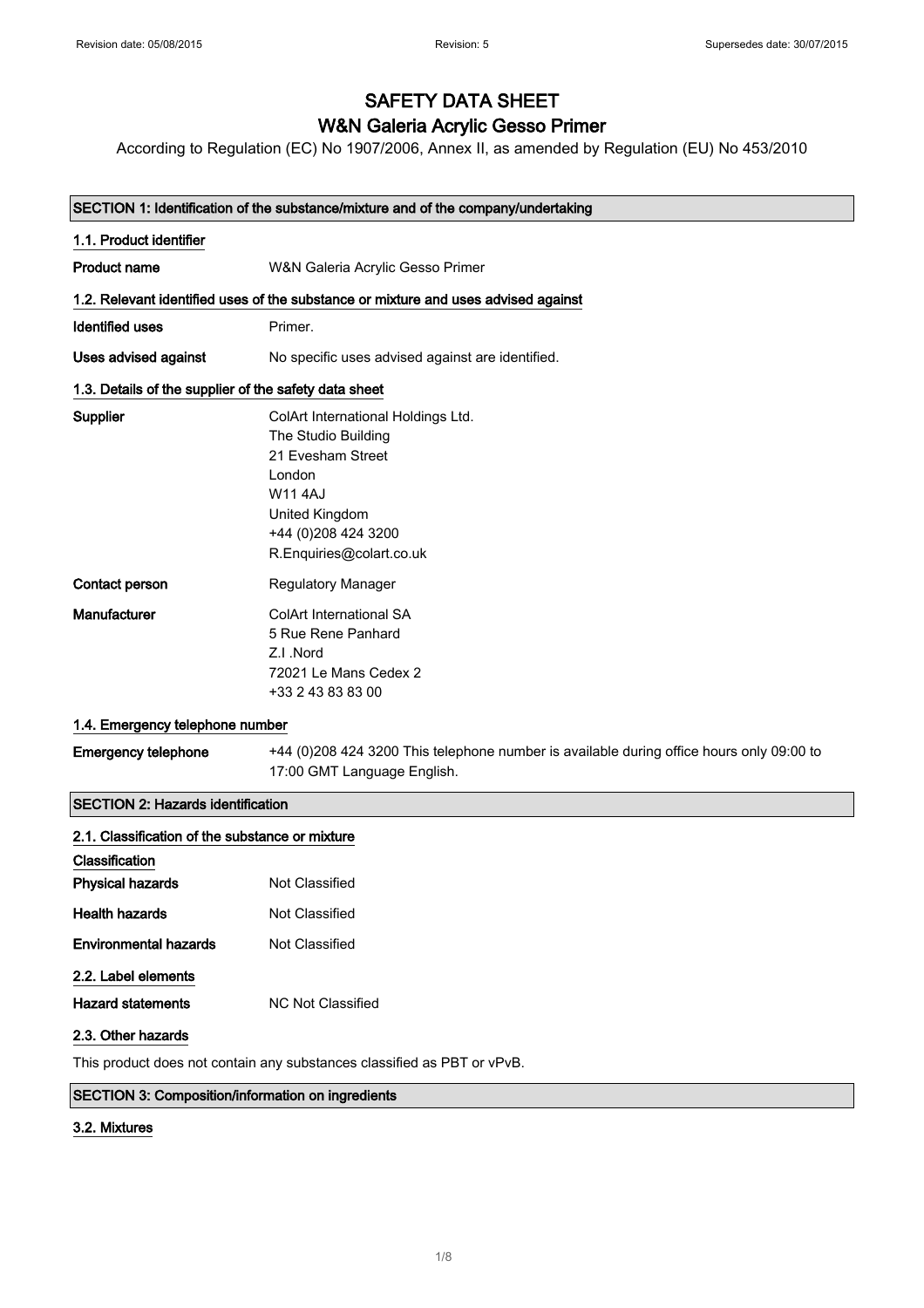# SAFETY DATA SHEET

# W&N Galeria Acrylic Gesso Primer

According to Regulation (EC) No 1907/2006, Annex II, as amended by Regulation (EU) No 453/2010

| SECTION 1: Identification of the substance/mixture and of the company/undertaking |                                                                                          |  |
|-----------------------------------------------------------------------------------|------------------------------------------------------------------------------------------|--|
| 1.1. Product identifier                                                           |                                                                                          |  |
| <b>Product name</b>                                                               | W&N Galeria Acrylic Gesso Primer                                                         |  |
|                                                                                   | 1.2. Relevant identified uses of the substance or mixture and uses advised against       |  |
| <b>Identified uses</b>                                                            | Primer.                                                                                  |  |
| Uses advised against                                                              | No specific uses advised against are identified.                                         |  |
| 1.3. Details of the supplier of the safety data sheet                             |                                                                                          |  |
| Supplier                                                                          | ColArt International Holdings Ltd.                                                       |  |
|                                                                                   | The Studio Building                                                                      |  |
|                                                                                   | 21 Evesham Street                                                                        |  |
|                                                                                   | London                                                                                   |  |
|                                                                                   | <b>W114AJ</b>                                                                            |  |
|                                                                                   | United Kingdom                                                                           |  |
|                                                                                   | +44 (0) 208 424 3200                                                                     |  |
|                                                                                   | R.Enquiries@colart.co.uk                                                                 |  |
| Contact person                                                                    | <b>Regulatory Manager</b>                                                                |  |
| Manufacturer                                                                      | <b>ColArt International SA</b>                                                           |  |
|                                                                                   | 5 Rue Rene Panhard                                                                       |  |
|                                                                                   | Z.I.Nord                                                                                 |  |
|                                                                                   | 72021 Le Mans Cedex 2                                                                    |  |
|                                                                                   | +33 2 43 83 83 00                                                                        |  |
| 1.4. Emergency telephone number                                                   |                                                                                          |  |
| <b>Emergency telephone</b>                                                        | +44 (0)208 424 3200 This telephone number is available during office hours only 09:00 to |  |
|                                                                                   | 17:00 GMT Language English.                                                              |  |
| <b>SECTION 2: Hazards identification</b>                                          |                                                                                          |  |
| 2.1. Classification of the substance or mixture                                   |                                                                                          |  |

| Classification           |                   |
|--------------------------|-------------------|
| <b>Physical hazards</b>  | Not Classified    |
| Health hazards           | Not Classified    |
| Environmental hazards    | Not Classified    |
| 2.2. Label elements      |                   |
| <b>Hazard statements</b> | NC Not Classified |
|                          |                   |

#### 2.3. Other hazards

This product does not contain any substances classified as PBT or vPvB.

### SECTION 3: Composition/information on ingredients

## 3.2. Mixtures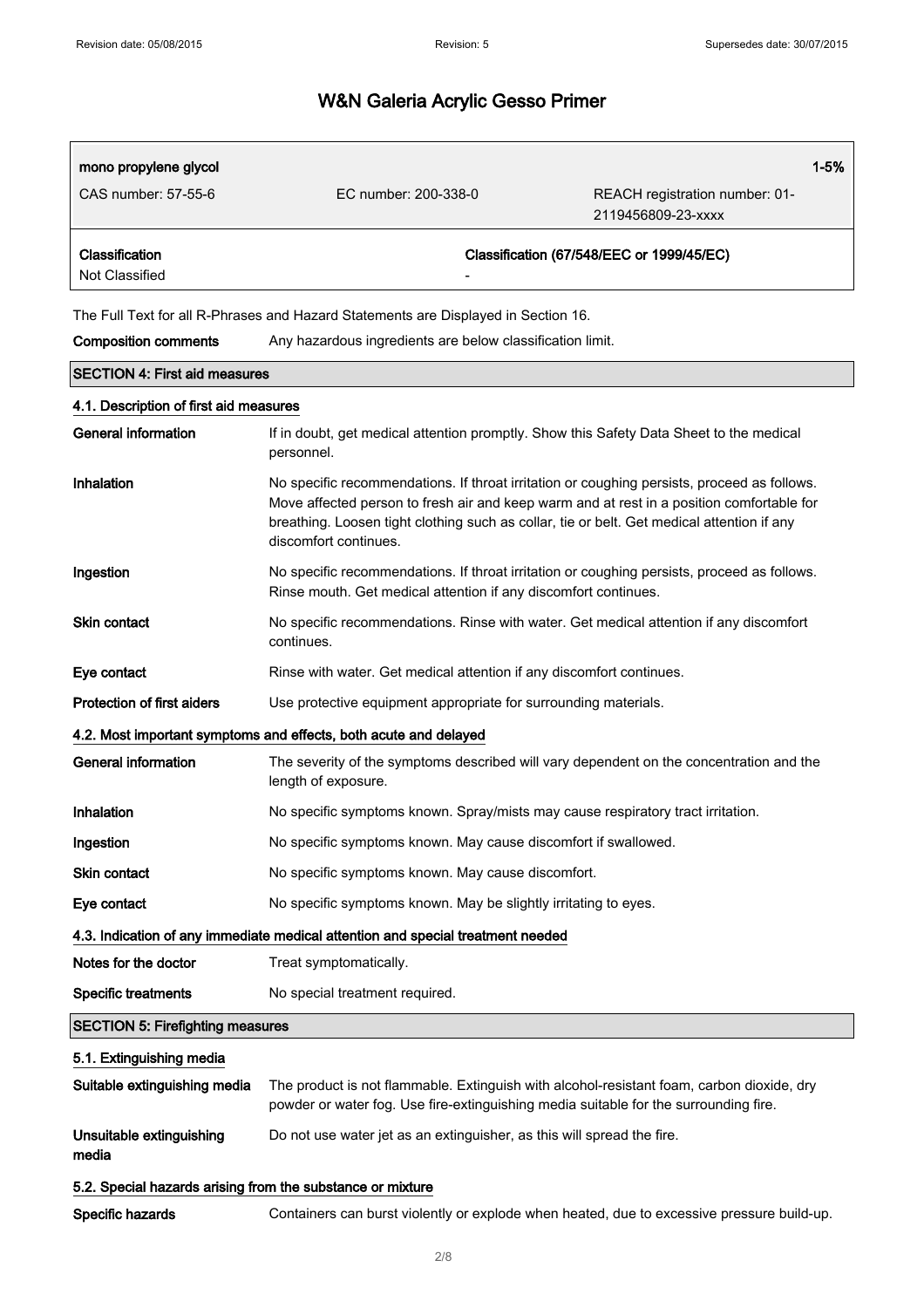| mono propylene glycol                                                           |                                                                                                                                                                                                                                                                                                                 | 1-5%                                      |
|---------------------------------------------------------------------------------|-----------------------------------------------------------------------------------------------------------------------------------------------------------------------------------------------------------------------------------------------------------------------------------------------------------------|-------------------------------------------|
| CAS number: 57-55-6                                                             | EC number: 200-338-0                                                                                                                                                                                                                                                                                            | REACH registration number: 01-            |
|                                                                                 |                                                                                                                                                                                                                                                                                                                 | 2119456809-23-xxxx                        |
| Classification                                                                  |                                                                                                                                                                                                                                                                                                                 | Classification (67/548/EEC or 1999/45/EC) |
| Not Classified                                                                  |                                                                                                                                                                                                                                                                                                                 |                                           |
|                                                                                 | The Full Text for all R-Phrases and Hazard Statements are Displayed in Section 16.                                                                                                                                                                                                                              |                                           |
| <b>Composition comments</b>                                                     | Any hazardous ingredients are below classification limit.                                                                                                                                                                                                                                                       |                                           |
| <b>SECTION 4: First aid measures</b>                                            |                                                                                                                                                                                                                                                                                                                 |                                           |
| 4.1. Description of first aid measures                                          |                                                                                                                                                                                                                                                                                                                 |                                           |
| <b>General information</b>                                                      | If in doubt, get medical attention promptly. Show this Safety Data Sheet to the medical<br>personnel.                                                                                                                                                                                                           |                                           |
| Inhalation                                                                      | No specific recommendations. If throat irritation or coughing persists, proceed as follows.<br>Move affected person to fresh air and keep warm and at rest in a position comfortable for<br>breathing. Loosen tight clothing such as collar, tie or belt. Get medical attention if any<br>discomfort continues. |                                           |
| Ingestion                                                                       | No specific recommendations. If throat irritation or coughing persists, proceed as follows.<br>Rinse mouth. Get medical attention if any discomfort continues.                                                                                                                                                  |                                           |
| Skin contact                                                                    | No specific recommendations. Rinse with water. Get medical attention if any discomfort<br>continues.                                                                                                                                                                                                            |                                           |
| Eye contact                                                                     | Rinse with water. Get medical attention if any discomfort continues.                                                                                                                                                                                                                                            |                                           |
| Protection of first aiders                                                      | Use protective equipment appropriate for surrounding materials.                                                                                                                                                                                                                                                 |                                           |
|                                                                                 | 4.2. Most important symptoms and effects, both acute and delayed                                                                                                                                                                                                                                                |                                           |
| <b>General information</b>                                                      | The severity of the symptoms described will vary dependent on the concentration and the<br>length of exposure.                                                                                                                                                                                                  |                                           |
| Inhalation                                                                      | No specific symptoms known. Spray/mists may cause respiratory tract irritation.                                                                                                                                                                                                                                 |                                           |
| Ingestion                                                                       | No specific symptoms known. May cause discomfort if swallowed.                                                                                                                                                                                                                                                  |                                           |
| <b>Skin contact</b>                                                             | No specific symptoms known. May cause discomfort.                                                                                                                                                                                                                                                               |                                           |
| Eye contact                                                                     | No specific symptoms known. May be slightly irritating to eyes.                                                                                                                                                                                                                                                 |                                           |
| 4.3. Indication of any immediate medical attention and special treatment needed |                                                                                                                                                                                                                                                                                                                 |                                           |
| Notes for the doctor                                                            | Treat symptomatically.                                                                                                                                                                                                                                                                                          |                                           |
| <b>Specific treatments</b>                                                      | No special treatment required.                                                                                                                                                                                                                                                                                  |                                           |
| <b>SECTION 5: Firefighting measures</b>                                         |                                                                                                                                                                                                                                                                                                                 |                                           |
| 5.1. Extinguishing media                                                        |                                                                                                                                                                                                                                                                                                                 |                                           |
| Suitable extinguishing media                                                    | The product is not flammable. Extinguish with alcohol-resistant foam, carbon dioxide, dry<br>powder or water fog. Use fire-extinguishing media suitable for the surrounding fire.                                                                                                                               |                                           |
| Unsuitable extinguishing<br>media                                               | Do not use water jet as an extinguisher, as this will spread the fire.                                                                                                                                                                                                                                          |                                           |
| 5.2. Special hazards arising from the substance or mixture                      |                                                                                                                                                                                                                                                                                                                 |                                           |
| Specific hazards                                                                | Containers can burst violently or explode when heated, due to excessive pressure build-up.                                                                                                                                                                                                                      |                                           |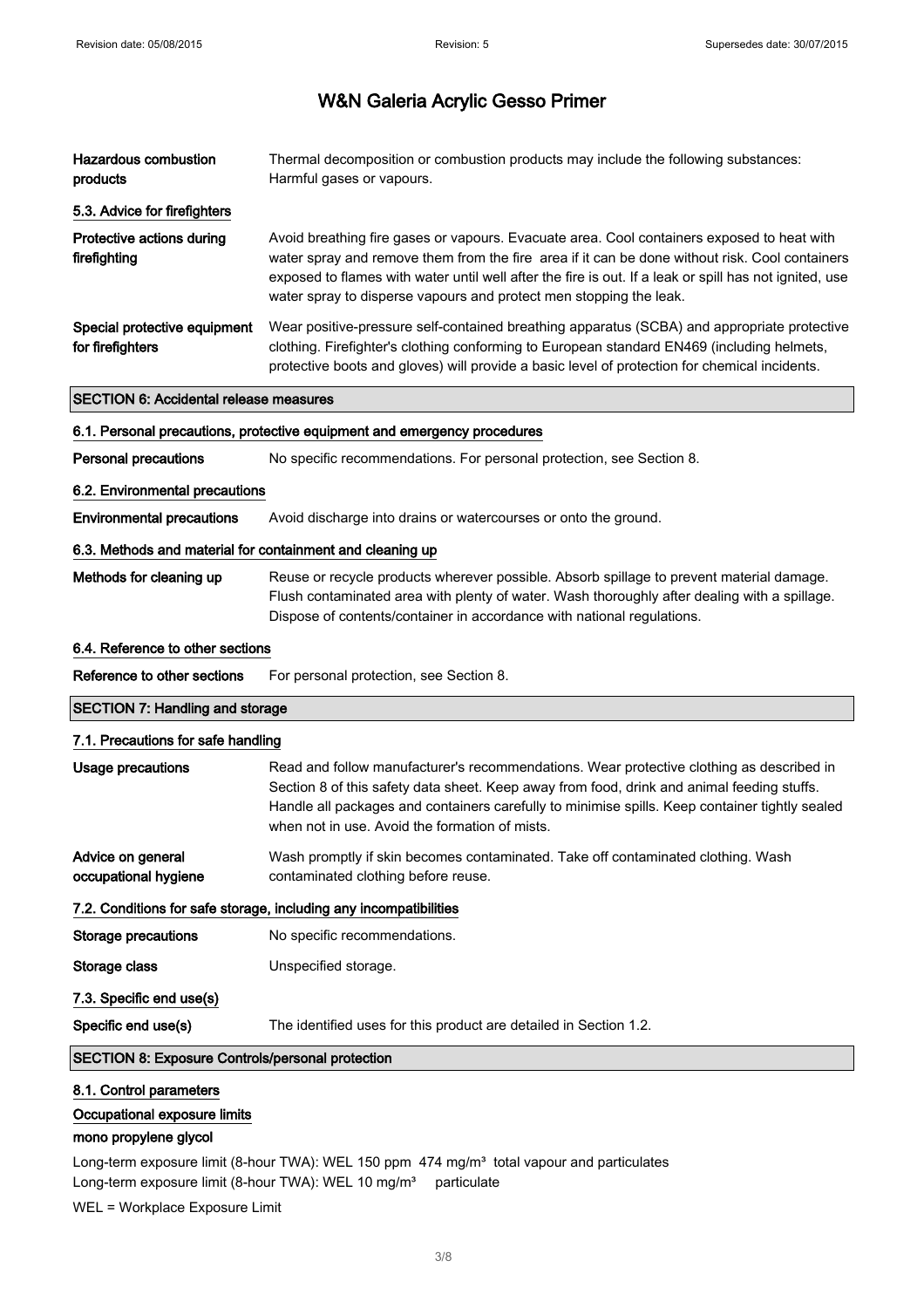| <b>Hazardous combustion</b><br>products                   | Thermal decomposition or combustion products may include the following substances:<br>Harmful gases or vapours.                                                                                                                                                                                                                                                              |  |
|-----------------------------------------------------------|------------------------------------------------------------------------------------------------------------------------------------------------------------------------------------------------------------------------------------------------------------------------------------------------------------------------------------------------------------------------------|--|
| 5.3. Advice for firefighters                              |                                                                                                                                                                                                                                                                                                                                                                              |  |
| Protective actions during<br>firefighting                 | Avoid breathing fire gases or vapours. Evacuate area. Cool containers exposed to heat with<br>water spray and remove them from the fire area if it can be done without risk. Cool containers<br>exposed to flames with water until well after the fire is out. If a leak or spill has not ignited, use<br>water spray to disperse vapours and protect men stopping the leak. |  |
| Special protective equipment<br>for firefighters          | Wear positive-pressure self-contained breathing apparatus (SCBA) and appropriate protective<br>clothing. Firefighter's clothing conforming to European standard EN469 (including helmets,<br>protective boots and gloves) will provide a basic level of protection for chemical incidents.                                                                                   |  |
| <b>SECTION 6: Accidental release measures</b>             |                                                                                                                                                                                                                                                                                                                                                                              |  |
|                                                           | 6.1. Personal precautions, protective equipment and emergency procedures                                                                                                                                                                                                                                                                                                     |  |
| <b>Personal precautions</b>                               | No specific recommendations. For personal protection, see Section 8.                                                                                                                                                                                                                                                                                                         |  |
| 6.2. Environmental precautions                            |                                                                                                                                                                                                                                                                                                                                                                              |  |
| <b>Environmental precautions</b>                          | Avoid discharge into drains or watercourses or onto the ground.                                                                                                                                                                                                                                                                                                              |  |
| 6.3. Methods and material for containment and cleaning up |                                                                                                                                                                                                                                                                                                                                                                              |  |
| Methods for cleaning up                                   | Reuse or recycle products wherever possible. Absorb spillage to prevent material damage.<br>Flush contaminated area with plenty of water. Wash thoroughly after dealing with a spillage.<br>Dispose of contents/container in accordance with national regulations.                                                                                                           |  |
| 6.4. Reference to other sections                          |                                                                                                                                                                                                                                                                                                                                                                              |  |
| Reference to other sections                               | For personal protection, see Section 8.                                                                                                                                                                                                                                                                                                                                      |  |
| <b>SECTION 7: Handling and storage</b>                    |                                                                                                                                                                                                                                                                                                                                                                              |  |
| 7.1. Precautions for safe handling                        |                                                                                                                                                                                                                                                                                                                                                                              |  |
| <b>Usage precautions</b>                                  | Read and follow manufacturer's recommendations. Wear protective clothing as described in<br>Section 8 of this safety data sheet. Keep away from food, drink and animal feeding stuffs.<br>Handle all packages and containers carefully to minimise spills. Keep container tightly sealed<br>when not in use. Avoid the formation of mists.                                   |  |
| Advice on general<br>occupational hygiene                 | Wash promptly if skin becomes contaminated. Take off contaminated clothing. Wash<br>contaminated clothing before reuse.                                                                                                                                                                                                                                                      |  |
|                                                           | 7.2. Conditions for safe storage, including any incompatibilities                                                                                                                                                                                                                                                                                                            |  |
| <b>Storage precautions</b>                                | No specific recommendations.                                                                                                                                                                                                                                                                                                                                                 |  |
| Storage class                                             | Unspecified storage.                                                                                                                                                                                                                                                                                                                                                         |  |
| 7.3. Specific end use(s)                                  |                                                                                                                                                                                                                                                                                                                                                                              |  |

Specific end use(s) The identified uses for this product are detailed in Section 1.2.

SECTION 8: Exposure Controls/personal protection

### 8.1. Control parameters

Occupational exposure limits

#### mono propylene glycol

Long-term exposure limit (8-hour TWA): WEL 150 ppm 474 mg/m<sup>3</sup> total vapour and particulates Long-term exposure limit (8-hour TWA): WEL 10 mg/m<sup>3</sup> particulate

WEL = Workplace Exposure Limit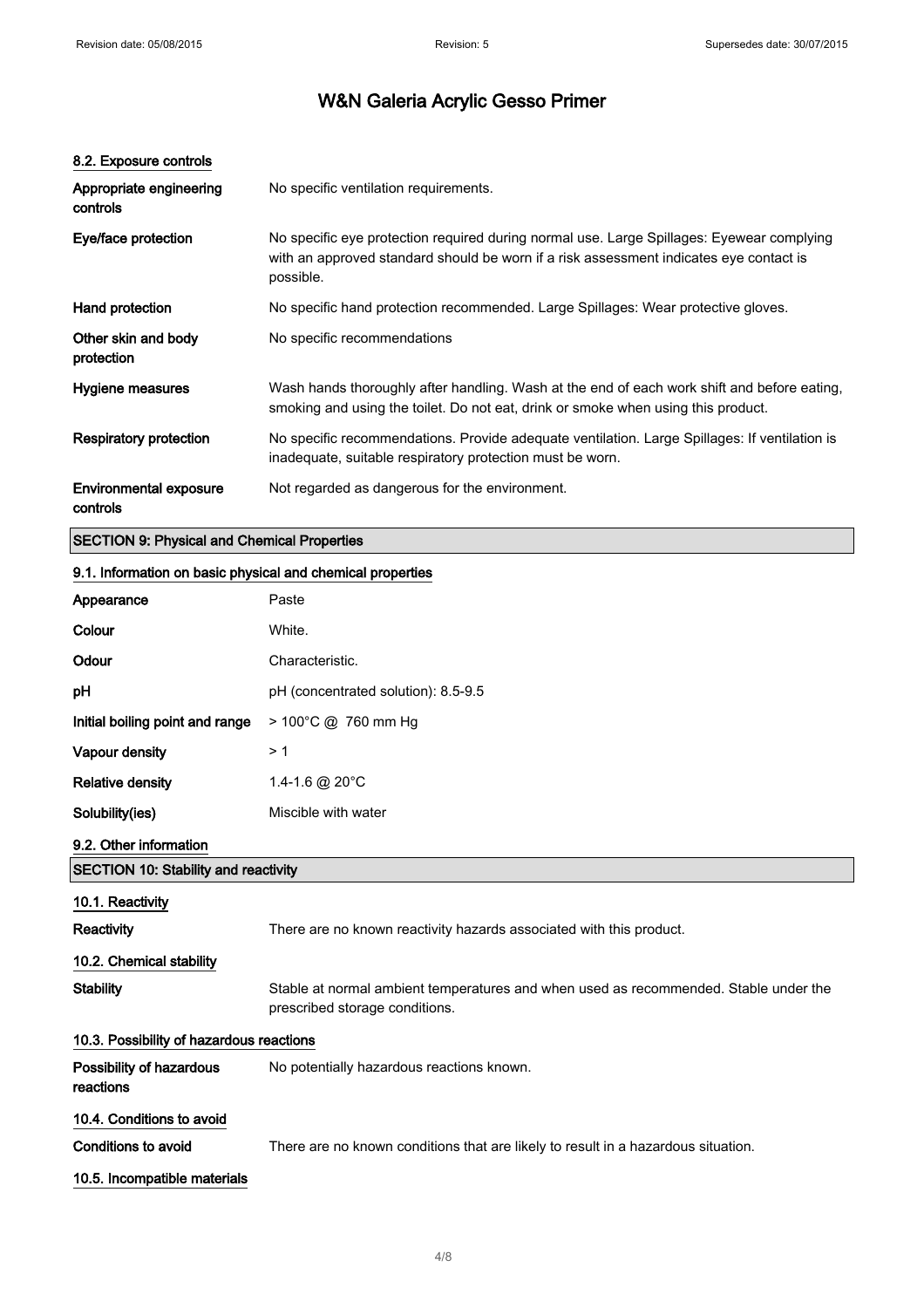| 8.2. Exposure controls                             |                                                                                                                                                                                                  |
|----------------------------------------------------|--------------------------------------------------------------------------------------------------------------------------------------------------------------------------------------------------|
| Appropriate engineering<br>controls                | No specific ventilation requirements.                                                                                                                                                            |
| Eye/face protection                                | No specific eye protection required during normal use. Large Spillages: Eyewear complying<br>with an approved standard should be worn if a risk assessment indicates eye contact is<br>possible. |
| Hand protection                                    | No specific hand protection recommended. Large Spillages: Wear protective gloves.                                                                                                                |
| Other skin and body<br>protection                  | No specific recommendations                                                                                                                                                                      |
| Hygiene measures                                   | Wash hands thoroughly after handling. Wash at the end of each work shift and before eating,<br>smoking and using the toilet. Do not eat, drink or smoke when using this product.                 |
| Respiratory protection                             | No specific recommendations. Provide adequate ventilation. Large Spillages: If ventilation is<br>inadequate, suitable respiratory protection must be worn.                                       |
| Environmental exposure<br>controls                 | Not regarded as dangerous for the environment.                                                                                                                                                   |
| <b>SECTION 9: Physical and Chemical Properties</b> |                                                                                                                                                                                                  |

## 9.1. Information on basic physical and chemical properties

| Appearance                                              | Paste                                                                                                                  |  |
|---------------------------------------------------------|------------------------------------------------------------------------------------------------------------------------|--|
| Colour                                                  | White.                                                                                                                 |  |
| Odour                                                   | Characteristic.                                                                                                        |  |
| pH                                                      | pH (concentrated solution): 8.5-9.5                                                                                    |  |
| Initial boiling point and range                         | > 100°C @ 760 mm Hg                                                                                                    |  |
| Vapour density                                          | >1                                                                                                                     |  |
| <b>Relative density</b>                                 | 1.4-1.6 @ 20°C                                                                                                         |  |
| Solubility(ies)                                         | Miscible with water                                                                                                    |  |
| 9.2. Other information                                  |                                                                                                                        |  |
| <b>SECTION 10: Stability and reactivity</b>             |                                                                                                                        |  |
| 10.1. Reactivity                                        |                                                                                                                        |  |
| Reactivity                                              | There are no known reactivity hazards associated with this product.                                                    |  |
| 10.2. Chemical stability                                |                                                                                                                        |  |
| <b>Stability</b>                                        | Stable at normal ambient temperatures and when used as recommended. Stable under the<br>prescribed storage conditions. |  |
| 10.3. Possibility of hazardous reactions                |                                                                                                                        |  |
| Possibility of hazardous<br>reactions                   | No potentially hazardous reactions known.                                                                              |  |
| 10.4. Conditions to avoid<br><b>Conditions to avoid</b> | There are no known conditions that are likely to result in a hazardous situation.                                      |  |
| 10.5. Incompatible materials                            |                                                                                                                        |  |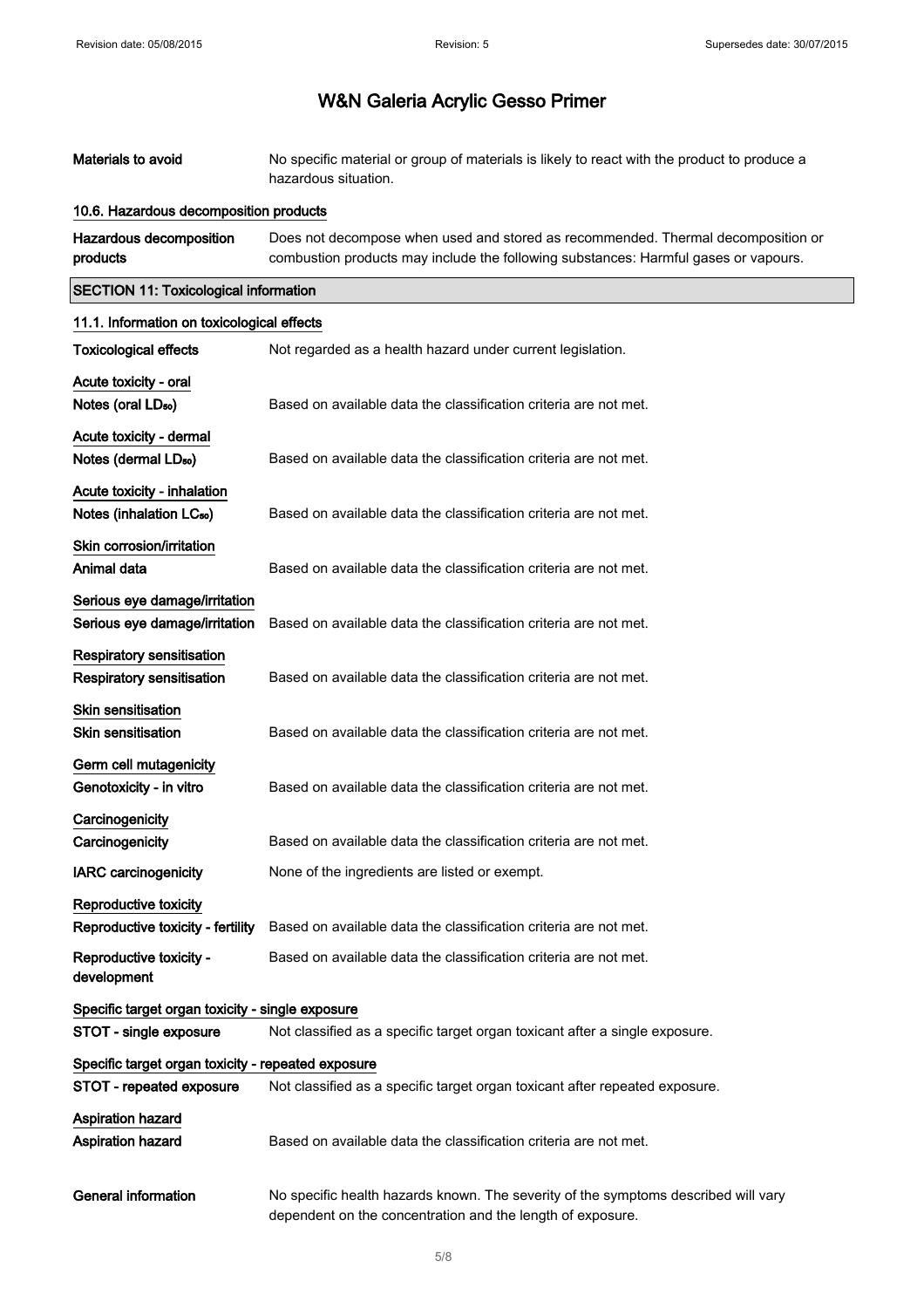| Materials to avoid                                                   | No specific material or group of materials is likely to react with the product to produce a<br>hazardous situation.                                                     |
|----------------------------------------------------------------------|-------------------------------------------------------------------------------------------------------------------------------------------------------------------------|
| 10.6. Hazardous decomposition products                               |                                                                                                                                                                         |
| Hazardous decomposition<br>products                                  | Does not decompose when used and stored as recommended. Thermal decomposition or<br>combustion products may include the following substances: Harmful gases or vapours. |
| <b>SECTION 11: Toxicological information</b>                         |                                                                                                                                                                         |
| 11.1. Information on toxicological effects                           |                                                                                                                                                                         |
| <b>Toxicological effects</b>                                         | Not regarded as a health hazard under current legislation.                                                                                                              |
| Acute toxicity - oral<br>Notes (oral LD <sub>50</sub> )              | Based on available data the classification criteria are not met.                                                                                                        |
| Acute toxicity - dermal<br>Notes (dermal LD <sub>50</sub> )          | Based on available data the classification criteria are not met.                                                                                                        |
| Acute toxicity - inhalation<br>Notes (inhalation LC <sub>50</sub> )  | Based on available data the classification criteria are not met.                                                                                                        |
| Skin corrosion/irritation<br>Animal data                             | Based on available data the classification criteria are not met.                                                                                                        |
| Serious eye damage/irritation<br>Serious eye damage/irritation       | Based on available data the classification criteria are not met.                                                                                                        |
| <b>Respiratory sensitisation</b><br><b>Respiratory sensitisation</b> | Based on available data the classification criteria are not met.                                                                                                        |
| <b>Skin sensitisation</b><br>Skin sensitisation                      | Based on available data the classification criteria are not met.                                                                                                        |
| Germ cell mutagenicity<br>Genotoxicity - in vitro                    | Based on available data the classification criteria are not met.                                                                                                        |
| Carcinogenicity<br>Carcinogenicity                                   | Based on available data the classification criteria are not met.                                                                                                        |
| <b>IARC</b> carcinogenicity                                          | None of the ingredients are listed or exempt.                                                                                                                           |
| Reproductive toxicity<br>Reproductive toxicity - fertility           | Based on available data the classification criteria are not met.                                                                                                        |
| Reproductive toxicity -<br>development                               | Based on available data the classification criteria are not met.                                                                                                        |
| Specific target organ toxicity - single exposure                     |                                                                                                                                                                         |
| STOT - single exposure                                               | Not classified as a specific target organ toxicant after a single exposure.                                                                                             |
| Specific target organ toxicity - repeated exposure                   |                                                                                                                                                                         |
| STOT - repeated exposure                                             | Not classified as a specific target organ toxicant after repeated exposure.                                                                                             |
| <b>Aspiration hazard</b><br><b>Aspiration hazard</b>                 | Based on available data the classification criteria are not met.                                                                                                        |
| <b>General information</b>                                           | No specific health hazards known. The severity of the symptoms described will vary<br>dependent on the concentration and the length of exposure.                        |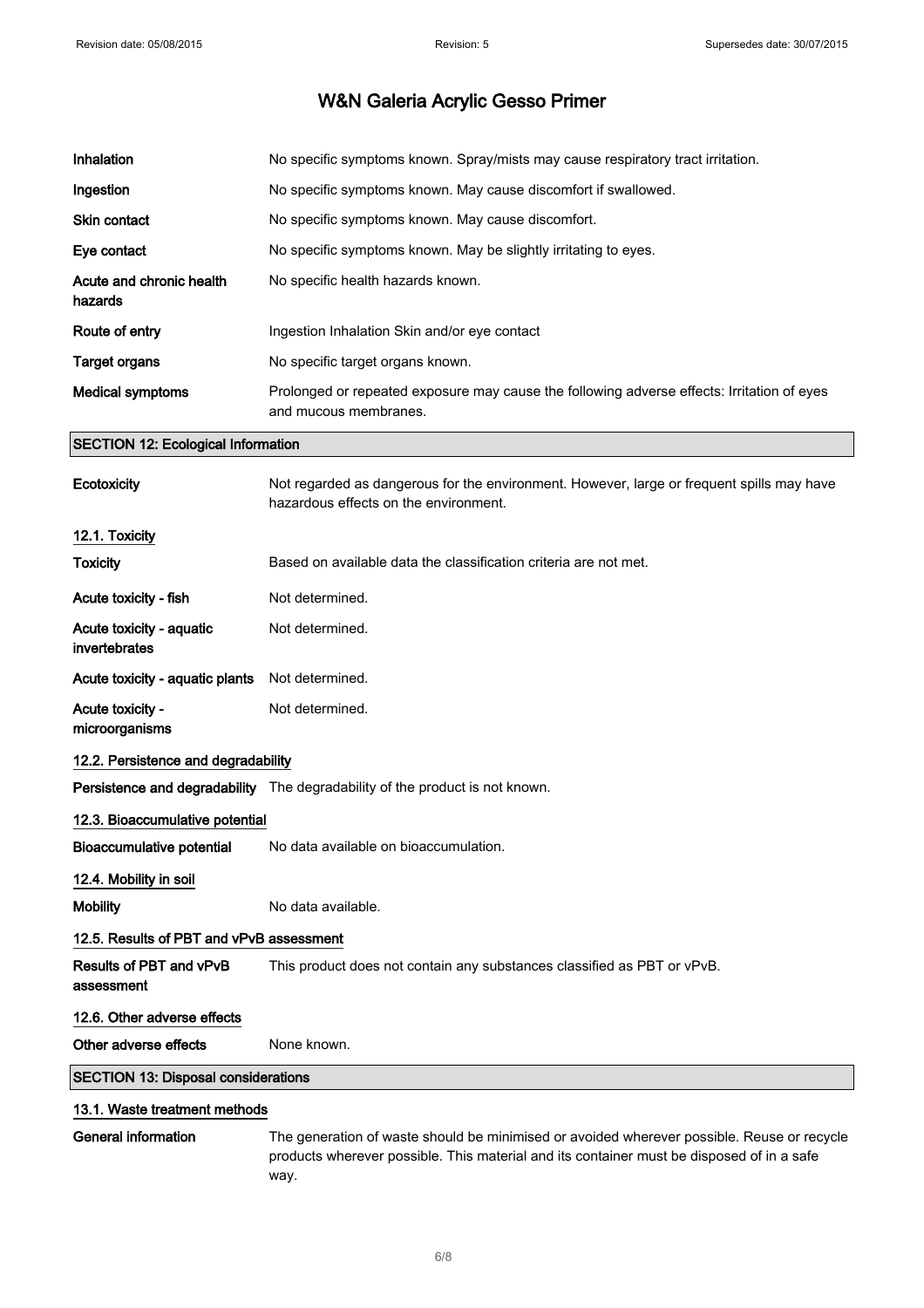| Inhalation                          | No specific symptoms known. Spray/mists may cause respiratory tract irritation.                                     |
|-------------------------------------|---------------------------------------------------------------------------------------------------------------------|
| Ingestion                           | No specific symptoms known. May cause discomfort if swallowed.                                                      |
| <b>Skin contact</b>                 | No specific symptoms known. May cause discomfort.                                                                   |
| Eye contact                         | No specific symptoms known. May be slightly irritating to eyes.                                                     |
| Acute and chronic health<br>hazards | No specific health hazards known.                                                                                   |
| Route of entry                      | Ingestion Inhalation Skin and/or eye contact                                                                        |
| Target organs                       | No specific target organs known.                                                                                    |
| <b>Medical symptoms</b>             | Prolonged or repeated exposure may cause the following adverse effects: Irritation of eyes<br>and mucous membranes. |

## SECTION 12: Ecological Information

| <b>Ecotoxicity</b>                         | Not regarded as dangerous for the environment. However, large or frequent spills may have<br>hazardous effects on the environment.                                                              |  |
|--------------------------------------------|-------------------------------------------------------------------------------------------------------------------------------------------------------------------------------------------------|--|
| 12.1. Toxicity                             |                                                                                                                                                                                                 |  |
| <b>Toxicity</b>                            | Based on available data the classification criteria are not met.                                                                                                                                |  |
| Acute toxicity - fish                      | Not determined.                                                                                                                                                                                 |  |
| Acute toxicity - aquatic<br>invertebrates  | Not determined.                                                                                                                                                                                 |  |
| Acute toxicity - aquatic plants            | Not determined.                                                                                                                                                                                 |  |
| Acute toxicity -<br>microorganisms         | Not determined.                                                                                                                                                                                 |  |
| 12.2. Persistence and degradability        |                                                                                                                                                                                                 |  |
|                                            | Persistence and degradability The degradability of the product is not known.                                                                                                                    |  |
| 12.3. Bioaccumulative potential            |                                                                                                                                                                                                 |  |
| <b>Bioaccumulative potential</b>           | No data available on bioaccumulation.                                                                                                                                                           |  |
| 12.4. Mobility in soil                     |                                                                                                                                                                                                 |  |
| <b>Mobility</b>                            | No data available.                                                                                                                                                                              |  |
| 12.5. Results of PBT and vPvB assessment   |                                                                                                                                                                                                 |  |
| Results of PBT and vPvB<br>assessment      | This product does not contain any substances classified as PBT or vPvB.                                                                                                                         |  |
| 12.6. Other adverse effects                |                                                                                                                                                                                                 |  |
| Other adverse effects                      | None known.                                                                                                                                                                                     |  |
| <b>SECTION 13: Disposal considerations</b> |                                                                                                                                                                                                 |  |
| 13.1. Waste treatment methods              |                                                                                                                                                                                                 |  |
| <b>General information</b>                 | The generation of waste should be minimised or avoided wherever possible. Reuse or recycle<br>products wherever possible. This material and its container must be disposed of in a safe<br>way. |  |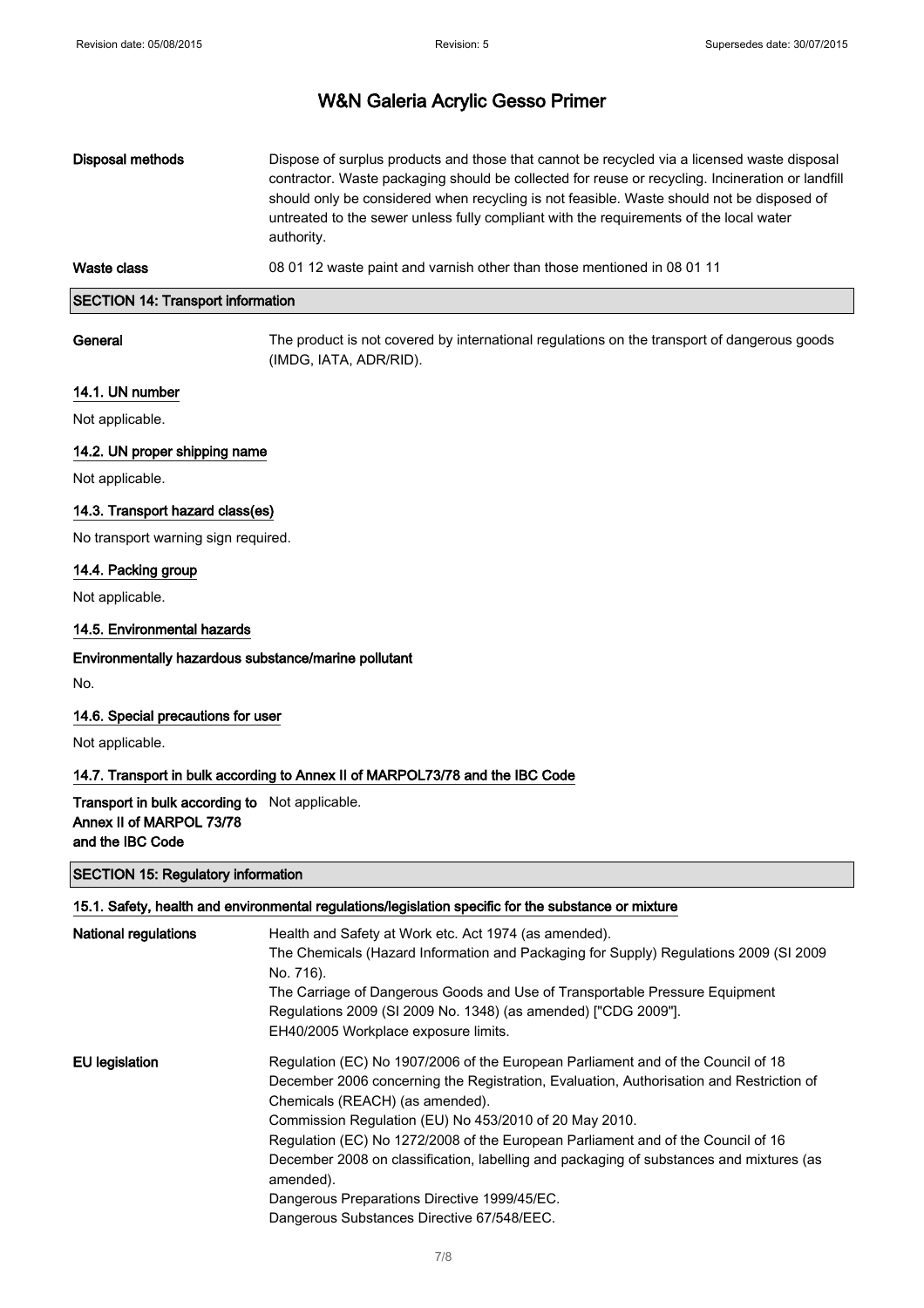### SECTION 14: Transport information

General The product is not covered by international regulations on the transport of dangerous goods (IMDG, IATA, ADR/RID).

#### 14.1. UN number

Not applicable.

### 14.2. UN proper shipping name

Not applicable.

#### 14.3. Transport hazard class(es)

No transport warning sign required.

#### 14.4. Packing group

Not applicable.

#### 14.5. Environmental hazards

#### Environmentally hazardous substance/marine pollutant

No.

#### 14.6. Special precautions for user

Not applicable.

#### 14.7. Transport in bulk according to Annex II of MARPOL73/78 and the IBC Code

Transport in bulk according to Not applicable. Annex II of MARPOL 73/78 and the IBC Code

### SECTION 15: Regulatory information

|                             | 15.1. Safety, health and environmental regulations/legislation specific for the substance or mixture |
|-----------------------------|------------------------------------------------------------------------------------------------------|
| <b>National regulations</b> | Health and Safety at Work etc. Act 1974 (as amended).                                                |
|                             | The Chemicals (Hazard Information and Packaging for Supply) Regulations 2009 (SI 2009                |
|                             | No. 716).                                                                                            |
|                             | The Carriage of Dangerous Goods and Use of Transportable Pressure Equipment                          |
|                             | Regulations 2009 (SI 2009 No. 1348) (as amended) ["CDG 2009"].                                       |
|                             | EH40/2005 Workplace exposure limits.                                                                 |
| EU legislation              | Regulation (EC) No 1907/2006 of the European Parliament and of the Council of 18                     |
|                             | December 2006 concerning the Registration, Evaluation, Authorisation and Restriction of              |
|                             | Chemicals (REACH) (as amended).                                                                      |
|                             | Commission Regulation (EU) No 453/2010 of 20 May 2010.                                               |
|                             | Regulation (EC) No 1272/2008 of the European Parliament and of the Council of 16                     |
|                             | December 2008 on classification, labelling and packaging of substances and mixtures (as<br>amended). |
|                             | Dangerous Preparations Directive 1999/45/EC.                                                         |
|                             | Dangerous Substances Directive 67/548/EEC.                                                           |